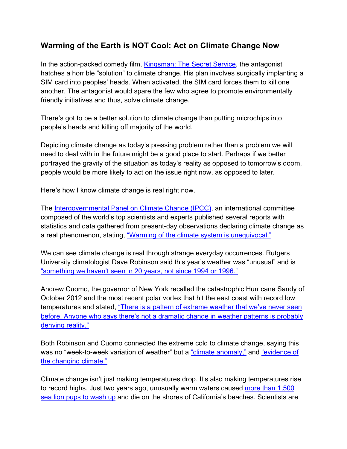## **Warming of the Earth is NOT Cool: Act on Climate Change Now**

In the action-packed comedy film, Kingsman: The Secret Service, the antagonist hatches a horrible "solution" to climate change. His plan involves surgically implanting a SIM card into peoples' heads. When activated, the SIM card forces them to kill one another. The antagonist would spare the few who agree to promote environmentally friendly initiatives and thus, solve climate change.

There's got to be a better solution to climate change than putting microchips into people's heads and killing off majority of the world.

Depicting climate change as today's pressing problem rather than a problem we will need to deal with in the future might be a good place to start. Perhaps if we better portrayed the gravity of the situation as today's reality as opposed to tomorrow's doom, people would be more likely to act on the issue right now, as opposed to later.

Here's how I know climate change is real right now.

The Intergovernmental Panel on Climate Change (IPCC), an international committee composed of the world's top scientists and experts published several reports with statistics and data gathered from present-day observations declaring climate change as a real phenomenon, stating, "Warming of the climate system is unequivocal."

We can see climate change is real through strange everyday occurrences. Rutgers University climatologist Dave Robinson said this year's weather was "unusual" and is "something we haven't seen in 20 years, not since 1994 or 1996."

Andrew Cuomo, the governor of New York recalled the catastrophic Hurricane Sandy of October 2012 and the most recent polar vortex that hit the east coast with record low temperatures and stated, "There is a pattern of extreme weather that we've never seen before. Anyone who says there's not a dramatic change in weather patterns is probably denying reality."

Both Robinson and Cuomo connected the extreme cold to climate change, saying this was no "week-to-week variation of weather" but a "climate anomaly," and "evidence of the changing climate."

Climate change isn't just making temperatures drop. It's also making temperatures rise to record highs. Just two years ago, unusually warm waters caused more than 1,500 sea lion pups to wash up and die on the shores of California's beaches. Scientists are